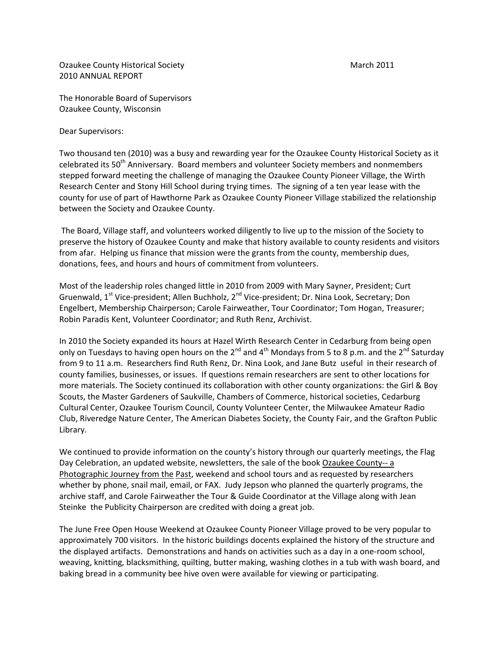Ozaukee County Historical Society March 2011 2010 ANNUAL REPORT

Dear Supervisors:

Two thousand ten (2010) was a busy and rewarding year for the Ozaukee County Historical Society as it celebrated its 50th Anniversary. Board members and volunteer Society members and nonmembers stepped forward meeting the challenge of managing the Ozaukee County Pioneer Village, the Wirth Research Center and Stony Hill School during trying times. The signing of a ten year lease with the county for use of part of Hawthorne Park as Ozaukee County Pioneer Village stabilized the relationship between the Society and Ozaukee County.

The Board, Village staff, and volunteers worked diligently to live up to the mission of the Society to preserve the history of Ozaukee County and make that history available to county residents and visitors from afar. Helping us finance that mission were the grants from the county, membership dues, donations, fees, and hours and hours of commitment from volunteers.

Most of the leadership roles changed little in 2010 from 2009 with Mary Sayner, President; Curt Gruenwald, 1<sup>st</sup> Vice-president; Allen Buchholz, 2<sup>nd</sup> Vice-president; Dr. Nina Look, Secretary; Don Engelbert, Membership Chairperson; Carole Fairweather, Tour Coordinator; Tom Hogan, Treasurer; Robin Paradis Kent, Volunteer Coordinator; and Ruth Renz, Archivist.

In 2010 the Society expanded its hours at Hazel Wirth Research Center in Cedarburg from being open only on Tuesdays to having open hours on the 2<sup>nd</sup> and 4<sup>th</sup> Mondays from 5 to 8 p.m. and the 2<sup>nd</sup> Saturday from 9 to 11 a.m. Researchers find Ruth Renz, Dr. Nina Look, and Jane Butz useful in their research of county families, businesses, or issues. If questions remain researchers are sent to other locations for more materials. The Society continued its collaboration with other county organizations: the Girl & Boy Scouts, the Master Gardeners of Saukville, Chambers of Commerce, historical societies, Cedarburg Cultural Center, Ozaukee Tourism Council, County Volunteer Center, the Milwaukee Amateur Radio Club, Riveredge Nature Center, The American Diabetes Society, the County Fair, and the Grafton Public Library.

We continued to provide information on the county's history through our quarterly meetings, the Flag Day Celebration, an updated website, newsletters, the sale of the book Ozaukee County-- a Photographic Journey from the Past, weekend and school tours and as requested by researchers whether by phone, snail mail, email, or FAX. Judy Jepson who planned the quarterly programs, the archive staff, and Carole Fairweather the Tour & Guide Coordinator at the Village along with Jean Steinke the Publicity Chairperson are credited with doing a great job.

The June Free Open House Weekend at Ozaukee County Pioneer Village proved to be very popular to approximately 700 visitors. In the historic buildings docents explained the history of the structure and the displayed artifacts. Demonstrations and hands on activities such as a day in a one-room school, weaving, knitting, blacksmithing, quilting, butter making, washing clothes in a tub with wash board, and baking bread in a community bee hive oven were available for viewing or participating.